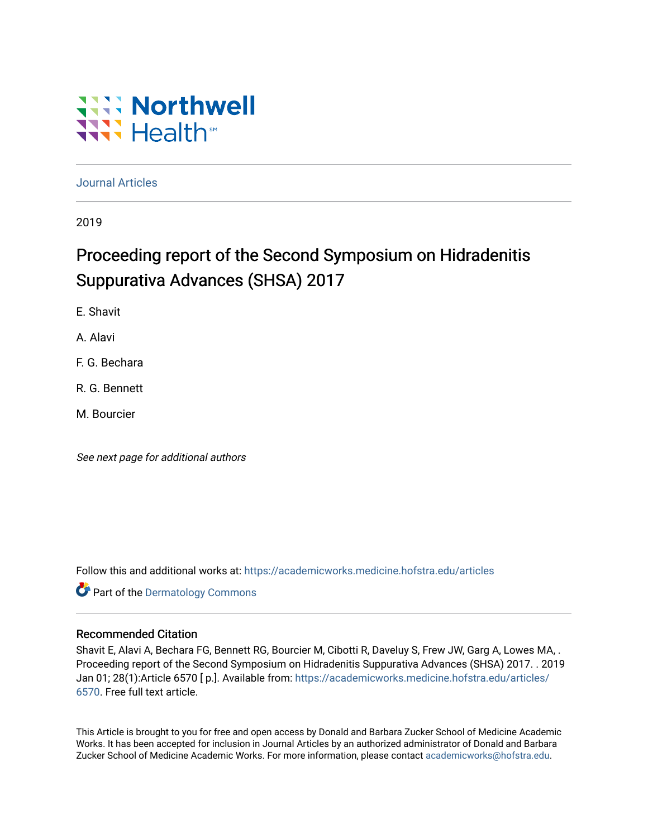# **WANT Northwell** THE Health

# [Journal Articles](https://academicworks.medicine.hofstra.edu/articles)

2019

# Proceeding report of the Second Symposium on Hidradenitis Suppurativa Advances (SHSA) 2017

E. Shavit

A. Alavi

F. G. Bechara

R. G. Bennett

M. Bourcier

See next page for additional authors

Follow this and additional works at: [https://academicworks.medicine.hofstra.edu/articles](https://academicworks.medicine.hofstra.edu/articles?utm_source=academicworks.medicine.hofstra.edu%2Farticles%2F6570&utm_medium=PDF&utm_campaign=PDFCoverPages)

**Part of the Dermatology Commons** 

# Recommended Citation

Shavit E, Alavi A, Bechara FG, Bennett RG, Bourcier M, Cibotti R, Daveluy S, Frew JW, Garg A, Lowes MA, . Proceeding report of the Second Symposium on Hidradenitis Suppurativa Advances (SHSA) 2017. . 2019 Jan 01; 28(1):Article 6570 [ p.]. Available from: [https://academicworks.medicine.hofstra.edu/articles/](https://academicworks.medicine.hofstra.edu/articles/6570?utm_source=academicworks.medicine.hofstra.edu%2Farticles%2F6570&utm_medium=PDF&utm_campaign=PDFCoverPages) [6570](https://academicworks.medicine.hofstra.edu/articles/6570?utm_source=academicworks.medicine.hofstra.edu%2Farticles%2F6570&utm_medium=PDF&utm_campaign=PDFCoverPages). Free full text article.

This Article is brought to you for free and open access by Donald and Barbara Zucker School of Medicine Academic Works. It has been accepted for inclusion in Journal Articles by an authorized administrator of Donald and Barbara Zucker School of Medicine Academic Works. For more information, please contact [academicworks@hofstra.edu](mailto:academicworks@hofstra.edu).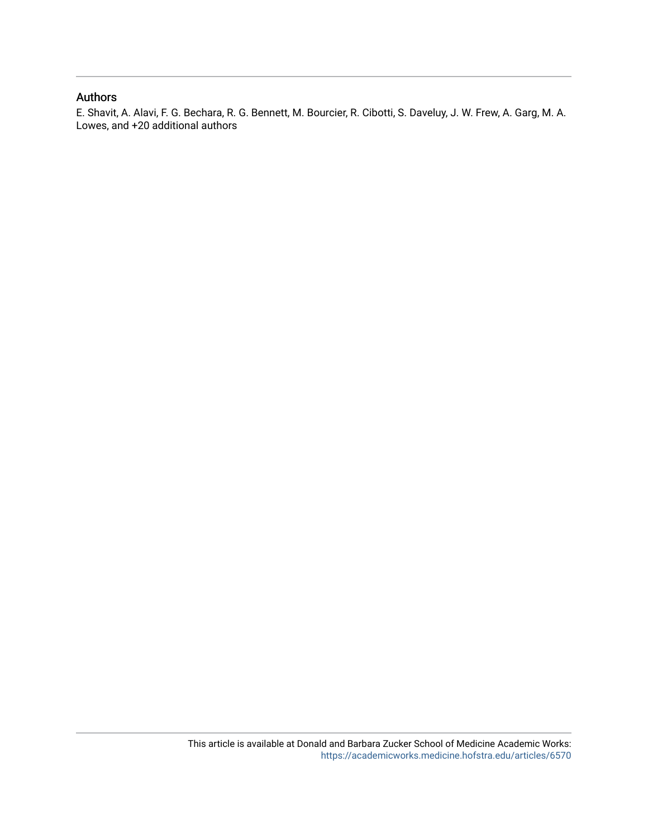# Authors

E. Shavit, A. Alavi, F. G. Bechara, R. G. Bennett, M. Bourcier, R. Cibotti, S. Daveluy, J. W. Frew, A. Garg, M. A. Lowes, and +20 additional authors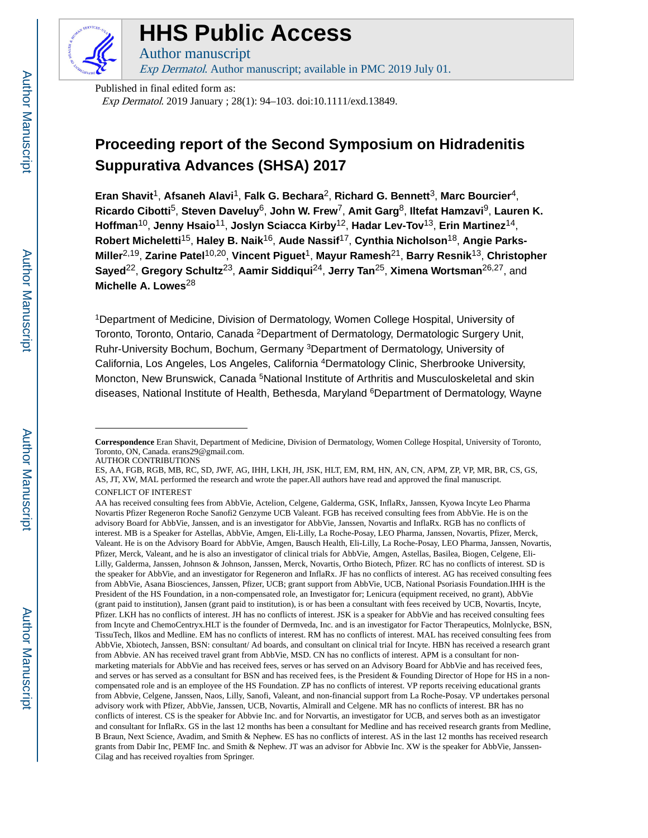

# **HHS Public Access**

Author manuscript Exp Dermatol. Author manuscript; available in PMC 2019 July 01.

Published in final edited form as:

Exp Dermatol. 2019 January ; 28(1): 94–103. doi:10.1111/exd.13849.

# **Proceeding report of the Second Symposium on Hidradenitis Suppurativa Advances (SHSA) 2017**

**Eran Shavit**1, **Afsaneh Alavi**1, **Falk G. Bechara**2, **Richard G. Bennett**3, **Marc Bourcier**4, **Ricardo Cibotti**5, **Steven Daveluy**6, **John W. Frew**7, **Amit Garg**8, **Iltefat Hamzavi**9, **Lauren K. Hoffman**10, **Jenny Hsaio**11, **Joslyn Sciacca Kirby**12, **Hadar Lev-Tov**13, **Erin Martinez**14, **Robert Micheletti**15, **Haley B. Naik**16, **Aude Nassif**17, **Cynthia Nicholson**18, **Angie Parks-Miller**2,19, **Zarine Patel**10,20, **Vincent Piguet**1, **Mayur Ramesh**21, **Barry Resnik**13, **Christopher Sayed**22, **Gregory Schultz**23, **Aamir Siddiqui**24, **Jerry Tan**25, **Ximena Wortsman**26,27, and **Michelle A. Lowes**<sup>28</sup>

<sup>1</sup>Department of Medicine, Division of Dermatology, Women College Hospital, University of Toronto, Toronto, Ontario, Canada <sup>2</sup> Department of Dermatology, Dermatologic Surgery Unit, Ruhr-University Bochum, Bochum, Germany <sup>3</sup>Department of Dermatology, University of California, Los Angeles, Los Angeles, California <sup>4</sup>Dermatology Clinic, Sherbrooke University, Moncton, New Brunswick, Canada<sup>5</sup>National Institute of Arthritis and Musculoskeletal and skin diseases, National Institute of Health, Bethesda, Maryland <sup>6</sup>Department of Dermatology, Wayne

**Correspondence** Eran Shavit, Department of Medicine, Division of Dermatology, Women College Hospital, University of Toronto, Toronto, ON, Canada. erans29@gmail.com. AUTHOR CONTRIBUTIONS

ES, AA, FGB, RGB, MB, RC, SD, JWF, AG, IHH, LKH, JH, JSK, HLT, EM, RM, HN, AN, CN, APM, ZP, VP, MR, BR, CS, GS, AS, JT, XW, MAL performed the research and wrote the paper.All authors have read and approved the final manuscript.

CONFLICT OF INTEREST

AA has received consulting fees from AbbVie, Actelion, Celgene, Galderma, GSK, InflaRx, Janssen, Kyowa Incyte Leo Pharma Novartis Pfizer Regeneron Roche Sanofi2 Genzyme UCB Valeant. FGB has received consulting fees from AbbVie. He is on the advisory Board for AbbVie, Janssen, and is an investigator for AbbVie, Janssen, Novartis and InflaRx. RGB has no conflicts of interest. MB is a Speaker for Astellas, AbbVie, Amgen, Eli-Lilly, La Roche-Posay, LEO Pharma, Janssen, Novartis, Pfizer, Merck, Valeant. He is on the Advisory Board for AbbVie, Amgen, Bausch Health, Eli-Lilly, La Roche-Posay, LEO Pharma, Janssen, Novartis, Pfizer, Merck, Valeant, and he is also an investigator of clinical trials for AbbVie, Amgen, Astellas, Basilea, Biogen, Celgene, Eli-Lilly, Galderma, Janssen, Johnson & Johnson, Janssen, Merck, Novartis, Ortho Biotech, Pfizer. RC has no conflicts of interest. SD is the speaker for AbbVie, and an investigator for Regeneron and InflaRx. JF has no conflicts of interest. AG has received consulting fees from AbbVie, Asana Biosciences, Janssen, Pfizer, UCB; grant support from AbbVie, UCB, National Psoriasis Foundation.IHH is the President of the HS Foundation, in a non-compensated role, an Investigator for; Lenicura (equipment received, no grant), AbbVie (grant paid to institution), Jansen (grant paid to institution), is or has been a consultant with fees received by UCB, Novartis, Incyte, Pfizer. LKH has no conflicts of interest. JH has no conflicts of interest. JSK is a speaker for AbbVie and has received consulting fees from Incyte and ChemoCentryx.HLT is the founder of Dermveda, Inc. and is an investigator for Factor Therapeutics, Molnlycke, BSN, TissuTech, Ilkos and Medline. EM has no conflicts of interest. RM has no conflicts of interest. MAL has received consulting fees from AbbVie, Xbiotech, Janssen, BSN: consultant/ Ad boards, and consultant on clinical trial for Incyte. HBN has received a research grant from Abbvie. AN has received travel grant from AbbVie, MSD. CN has no conflicts of interest. APM is a consultant for nonmarketing materials for AbbVie and has received fees, serves or has served on an Advisory Board for AbbVie and has received fees, and serves or has served as a consultant for BSN and has received fees, is the President & Founding Director of Hope for HS in a noncompensated role and is an employee of the HS Foundation. ZP has no conflicts of interest. VP reports receiving educational grants from Abbvie, Celgene, Janssen, Naos, Lilly, Sanofi, Valeant, and non-financial support from La Roche-Posay. VP undertakes personal advisory work with Pfizer, AbbVie, Janssen, UCB, Novartis, Almirall and Celgene. MR has no conflicts of interest. BR has no conflicts of interest. CS is the speaker for Abbvie Inc. and for Norvartis, an investigator for UCB, and serves both as an investigator and consultant for InflaRx. GS in the last 12 months has been a consultant for Medline and has received research grants from Medline, B Braun, Next Science, Avadim, and Smith & Nephew. ES has no conflicts of interest. AS in the last 12 months has received research grants from Dabir Inc, PEMF Inc. and Smith & Nephew. JT was an advisor for Abbvie Inc. XW is the speaker for AbbVie, Janssen-Cilag and has received royalties from Springer.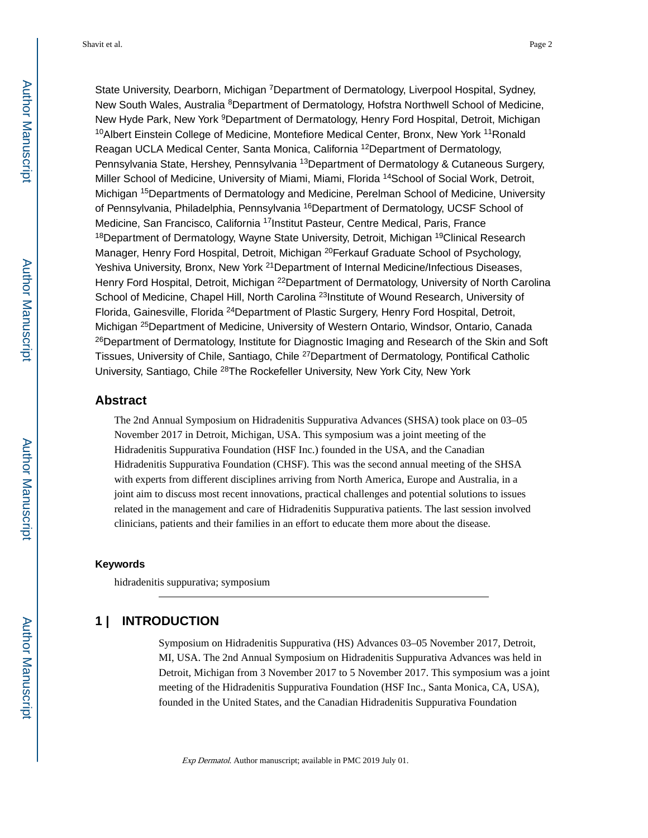State University, Dearborn, Michigan <sup>7</sup>Department of Dermatology, Liverpool Hospital, Sydney, New South Wales, Australia <sup>8</sup>Department of Dermatology, Hofstra Northwell School of Medicine, New Hyde Park, New York <sup>9</sup>Department of Dermatology, Henry Ford Hospital, Detroit, Michigan <sup>10</sup>Albert Einstein College of Medicine, Montefiore Medical Center, Bronx, New York <sup>11</sup>Ronald Reagan UCLA Medical Center, Santa Monica, California <sup>12</sup>Department of Dermatology, Pennsylvania State, Hershey, Pennsylvania <sup>13</sup>Department of Dermatology & Cutaneous Surgery, Miller School of Medicine, University of Miami, Miami, Florida <sup>14</sup>School of Social Work, Detroit, Michigan <sup>15</sup>Departments of Dermatology and Medicine, Perelman School of Medicine, University of Pennsylvania, Philadelphia, Pennsylvania <sup>16</sup>Department of Dermatology, UCSF School of Medicine, San Francisco, California <sup>17</sup>Institut Pasteur, Centre Medical, Paris, France <sup>18</sup>Department of Dermatology, Wayne State University, Detroit, Michigan <sup>19</sup>Clinical Research Manager, Henry Ford Hospital, Detroit, Michigan <sup>20</sup>Ferkauf Graduate School of Psychology, Yeshiva University, Bronx, New York <sup>21</sup>Department of Internal Medicine/Infectious Diseases, Henry Ford Hospital, Detroit, Michigan <sup>22</sup>Department of Dermatology, University of North Carolina School of Medicine, Chapel Hill, North Carolina <sup>23</sup>Institute of Wound Research, University of Florida, Gainesville, Florida<sup>24</sup>Department of Plastic Surgery, Henry Ford Hospital, Detroit, Michigan <sup>25</sup>Department of Medicine, University of Western Ontario, Windsor, Ontario, Canada <sup>26</sup>Department of Dermatology, Institute for Diagnostic Imaging and Research of the Skin and Soft Tissues, University of Chile, Santiago, Chile <sup>27</sup>Department of Dermatology, Pontifical Catholic University, Santiago, Chile <sup>28</sup>The Rockefeller University, New York City, New York

## **Abstract**

The 2nd Annual Symposium on Hidradenitis Suppurativa Advances (SHSA) took place on 03–05 November 2017 in Detroit, Michigan, USA. This symposium was a joint meeting of the Hidradenitis Suppurativa Foundation (HSF Inc.) founded in the USA, and the Canadian Hidradenitis Suppurativa Foundation (CHSF). This was the second annual meeting of the SHSA with experts from different disciplines arriving from North America, Europe and Australia, in a joint aim to discuss most recent innovations, practical challenges and potential solutions to issues related in the management and care of Hidradenitis Suppurativa patients. The last session involved clinicians, patients and their families in an effort to educate them more about the disease.

### **Keywords**

hidradenitis suppurativa; symposium

# **1 | INTRODUCTION**

Symposium on Hidradenitis Suppurativa (HS) Advances 03–05 November 2017, Detroit, MI, USA. The 2nd Annual Symposium on Hidradenitis Suppurativa Advances was held in Detroit, Michigan from 3 November 2017 to 5 November 2017. This symposium was a joint meeting of the Hidradenitis Suppurativa Foundation (HSF Inc., Santa Monica, CA, USA), founded in the United States, and the Canadian Hidradenitis Suppurativa Foundation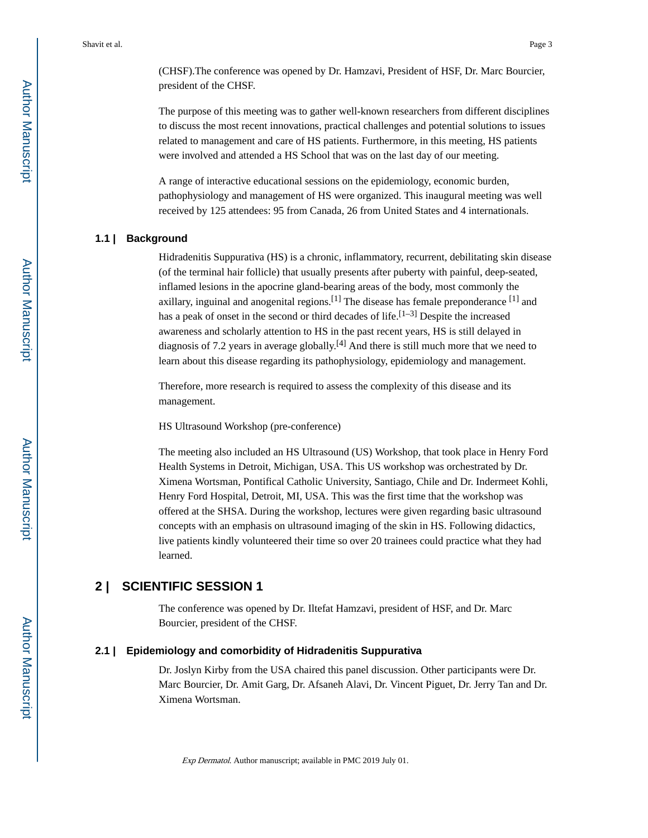(CHSF).The conference was opened by Dr. Hamzavi, President of HSF, Dr. Marc Bourcier, president of the CHSF.

The purpose of this meeting was to gather well-known researchers from different disciplines to discuss the most recent innovations, practical challenges and potential solutions to issues related to management and care of HS patients. Furthermore, in this meeting, HS patients were involved and attended a HS School that was on the last day of our meeting.

A range of interactive educational sessions on the epidemiology, economic burden, pathophysiology and management of HS were organized. This inaugural meeting was well received by 125 attendees: 95 from Canada, 26 from United States and 4 internationals.

## **1.1 | Background**

Hidradenitis Suppurativa (HS) is a chronic, inflammatory, recurrent, debilitating skin disease (of the terminal hair follicle) that usually presents after puberty with painful, deep-seated, inflamed lesions in the apocrine gland-bearing areas of the body, most commonly the axillary, inguinal and anogenital regions.  $^{[1]}$  The disease has female preponderance  $^{[1]}$  and has a peak of onset in the second or third decades of life.<sup>[1-3]</sup> Despite the increased awareness and scholarly attention to HS in the past recent years, HS is still delayed in diagnosis of 7.2 years in average globally.<sup>[4]</sup> And there is still much more that we need to learn about this disease regarding its pathophysiology, epidemiology and management.

Therefore, more research is required to assess the complexity of this disease and its management.

HS Ultrasound Workshop (pre-conference)

The meeting also included an HS Ultrasound (US) Workshop, that took place in Henry Ford Health Systems in Detroit, Michigan, USA. This US workshop was orchestrated by Dr. Ximena Wortsman, Pontifical Catholic University, Santiago, Chile and Dr. Indermeet Kohli, Henry Ford Hospital, Detroit, MI, USA. This was the first time that the workshop was offered at the SHSA. During the workshop, lectures were given regarding basic ultrasound concepts with an emphasis on ultrasound imaging of the skin in HS. Following didactics, live patients kindly volunteered their time so over 20 trainees could practice what they had learned.

# **2 | SCIENTIFIC SESSION 1**

The conference was opened by Dr. Iltefat Hamzavi, president of HSF, and Dr. Marc Bourcier, president of the CHSF.

#### **2.1 | Epidemiology and comorbidity of Hidradenitis Suppurativa**

Dr. Joslyn Kirby from the USA chaired this panel discussion. Other participants were Dr. Marc Bourcier, Dr. Amit Garg, Dr. Afsaneh Alavi, Dr. Vincent Piguet, Dr. Jerry Tan and Dr. Ximena Wortsman.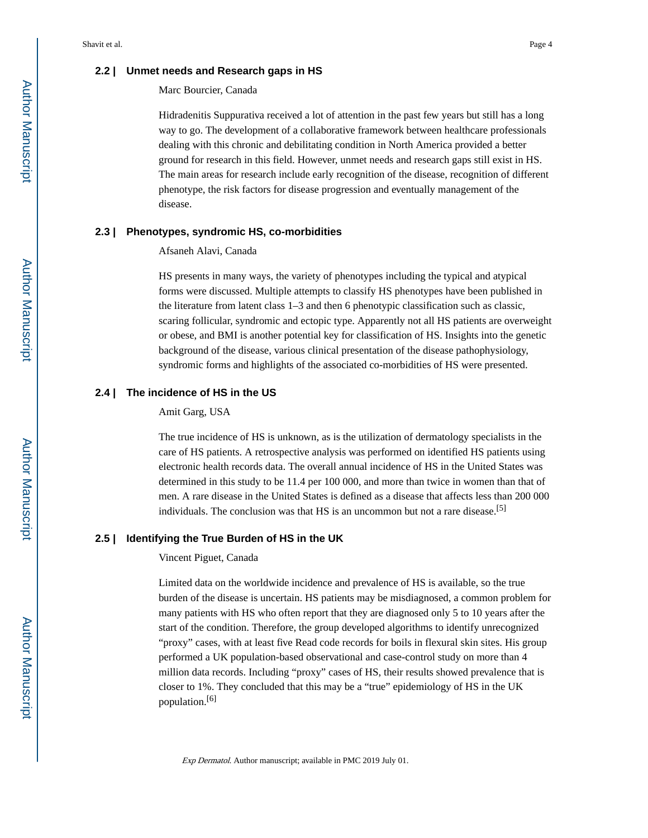## **2.2 | Unmet needs and Research gaps in HS**

Marc Bourcier, Canada

Hidradenitis Suppurativa received a lot of attention in the past few years but still has a long way to go. The development of a collaborative framework between healthcare professionals dealing with this chronic and debilitating condition in North America provided a better ground for research in this field. However, unmet needs and research gaps still exist in HS. The main areas for research include early recognition of the disease, recognition of different phenotype, the risk factors for disease progression and eventually management of the disease.

### **2.3 | Phenotypes, syndromic HS, co-morbidities**

Afsaneh Alavi, Canada

HS presents in many ways, the variety of phenotypes including the typical and atypical forms were discussed. Multiple attempts to classify HS phenotypes have been published in the literature from latent class 1–3 and then 6 phenotypic classification such as classic, scaring follicular, syndromic and ectopic type. Apparently not all HS patients are overweight or obese, and BMI is another potential key for classification of HS. Insights into the genetic background of the disease, various clinical presentation of the disease pathophysiology, syndromic forms and highlights of the associated co-morbidities of HS were presented.

#### **2.4 | The incidence of HS in the US**

Amit Garg, USA

The true incidence of HS is unknown, as is the utilization of dermatology specialists in the care of HS patients. A retrospective analysis was performed on identified HS patients using electronic health records data. The overall annual incidence of HS in the United States was determined in this study to be 11.4 per 100 000, and more than twice in women than that of men. A rare disease in the United States is defined as a disease that affects less than 200 000 individuals. The conclusion was that HS is an uncommon but not a rare disease.<sup>[5]</sup>

#### **2.5 | Identifying the True Burden of HS in the UK**

Vincent Piguet, Canada

Limited data on the worldwide incidence and prevalence of HS is available, so the true burden of the disease is uncertain. HS patients may be misdiagnosed, a common problem for many patients with HS who often report that they are diagnosed only 5 to 10 years after the start of the condition. Therefore, the group developed algorithms to identify unrecognized "proxy" cases, with at least five Read code records for boils in flexural skin sites. His group performed a UK population-based observational and case-control study on more than 4 million data records. Including "proxy" cases of HS, their results showed prevalence that is closer to 1%. They concluded that this may be a "true" epidemiology of HS in the UK population.[6]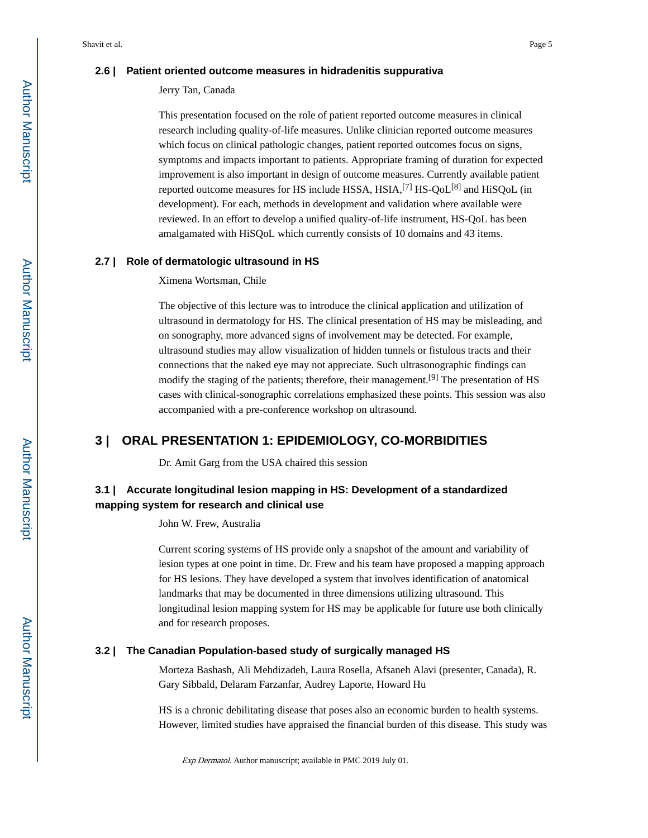#### **2.6 | Patient oriented outcome measures in hidradenitis suppurativa**

#### Jerry Tan, Canada

This presentation focused on the role of patient reported outcome measures in clinical research including quality-of-life measures. Unlike clinician reported outcome measures which focus on clinical pathologic changes, patient reported outcomes focus on signs, symptoms and impacts important to patients. Appropriate framing of duration for expected improvement is also important in design of outcome measures. Currently available patient reported outcome measures for HS include HSSA, HSIA,<sup>[7]</sup> HS-QoL<sup>[8]</sup> and HiSQoL (in development). For each, methods in development and validation where available were reviewed. In an effort to develop a unified quality-of-life instrument, HS-QoL has been amalgamated with HiSQoL which currently consists of 10 domains and 43 items.

#### **2.7 | Role of dermatologic ultrasound in HS**

Ximena Wortsman, Chile

The objective of this lecture was to introduce the clinical application and utilization of ultrasound in dermatology for HS. The clinical presentation of HS may be misleading, and on sonography, more advanced signs of involvement may be detected. For example, ultrasound studies may allow visualization of hidden tunnels or fistulous tracts and their connections that the naked eye may not appreciate. Such ultrasonographic findings can modify the staging of the patients; therefore, their management.<sup>[9]</sup> The presentation of HS cases with clinical-sonographic correlations emphasized these points. This session was also accompanied with a pre-conference workshop on ultrasound.

# **3 | ORAL PRESENTATION 1: EPIDEMIOLOGY, CO-MORBIDITIES**

Dr. Amit Garg from the USA chaired this session

# **3.1 | Accurate longitudinal lesion mapping in HS: Development of a standardized mapping system for research and clinical use**

John W. Frew, Australia

Current scoring systems of HS provide only a snapshot of the amount and variability of lesion types at one point in time. Dr. Frew and his team have proposed a mapping approach for HS lesions. They have developed a system that involves identification of anatomical landmarks that may be documented in three dimensions utilizing ultrasound. This longitudinal lesion mapping system for HS may be applicable for future use both clinically and for research proposes.

#### **3.2 | The Canadian Population-based study of surgically managed HS**

Morteza Bashash, Ali Mehdizadeh, Laura Rosella, Afsaneh Alavi (presenter, Canada), R. Gary Sibbald, Delaram Farzanfar, Audrey Laporte, Howard Hu

HS is a chronic debilitating disease that poses also an economic burden to health systems. However, limited studies have appraised the financial burden of this disease. This study was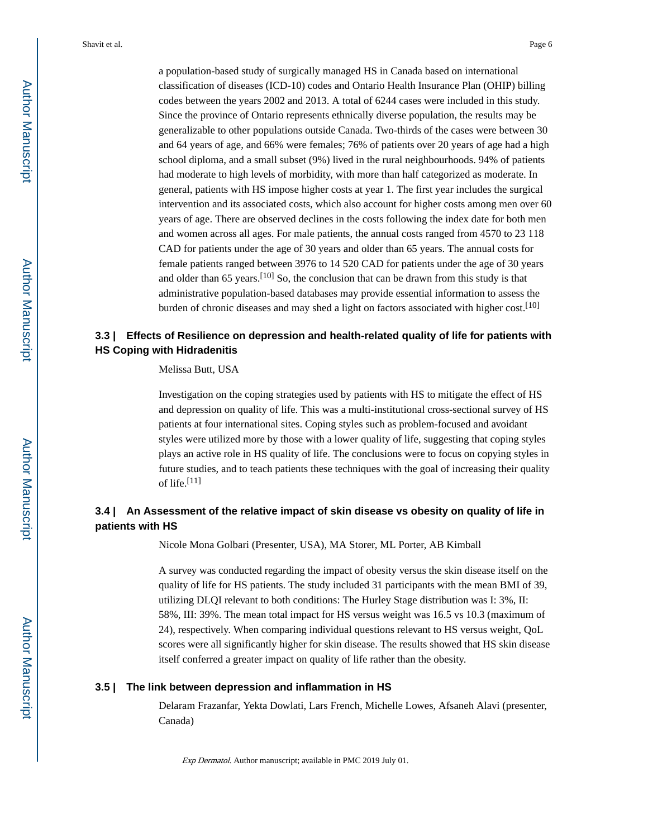a population-based study of surgically managed HS in Canada based on international classification of diseases (ICD-10) codes and Ontario Health Insurance Plan (OHIP) billing codes between the years 2002 and 2013. A total of 6244 cases were included in this study. Since the province of Ontario represents ethnically diverse population, the results may be generalizable to other populations outside Canada. Two-thirds of the cases were between 30 and 64 years of age, and 66% were females; 76% of patients over 20 years of age had a high school diploma, and a small subset (9%) lived in the rural neighbourhoods. 94% of patients had moderate to high levels of morbidity, with more than half categorized as moderate. In general, patients with HS impose higher costs at year 1. The first year includes the surgical intervention and its associated costs, which also account for higher costs among men over 60 years of age. There are observed declines in the costs following the index date for both men and women across all ages. For male patients, the annual costs ranged from 4570 to 23 118 CAD for patients under the age of 30 years and older than 65 years. The annual costs for female patients ranged between 3976 to 14 520 CAD for patients under the age of 30 years and older than 65 years.<sup>[10]</sup> So, the conclusion that can be drawn from this study is that administrative population-based databases may provide essential information to assess the burden of chronic diseases and may shed a light on factors associated with higher cost.<sup>[10]</sup>

# **3.3 | Effects of Resilience on depression and health-related quality of life for patients with HS Coping with Hidradenitis**

#### Melissa Butt, USA

Investigation on the coping strategies used by patients with HS to mitigate the effect of HS and depression on quality of life. This was a multi-institutional cross-sectional survey of HS patients at four international sites. Coping styles such as problem-focused and avoidant styles were utilized more by those with a lower quality of life, suggesting that coping styles plays an active role in HS quality of life. The conclusions were to focus on copying styles in future studies, and to teach patients these techniques with the goal of increasing their quality of life.[11]

# **3.4 | An Assessment of the relative impact of skin disease vs obesity on quality of life in patients with HS**

Nicole Mona Golbari (Presenter, USA), MA Storer, ML Porter, AB Kimball

A survey was conducted regarding the impact of obesity versus the skin disease itself on the quality of life for HS patients. The study included 31 participants with the mean BMI of 39, utilizing DLQI relevant to both conditions: The Hurley Stage distribution was I: 3%, II: 58%, III: 39%. The mean total impact for HS versus weight was 16.5 vs 10.3 (maximum of 24), respectively. When comparing individual questions relevant to HS versus weight, QoL scores were all significantly higher for skin disease. The results showed that HS skin disease itself conferred a greater impact on quality of life rather than the obesity.

## **3.5 | The link between depression and inflammation in HS**

Delaram Frazanfar, Yekta Dowlati, Lars French, Michelle Lowes, Afsaneh Alavi (presenter, Canada)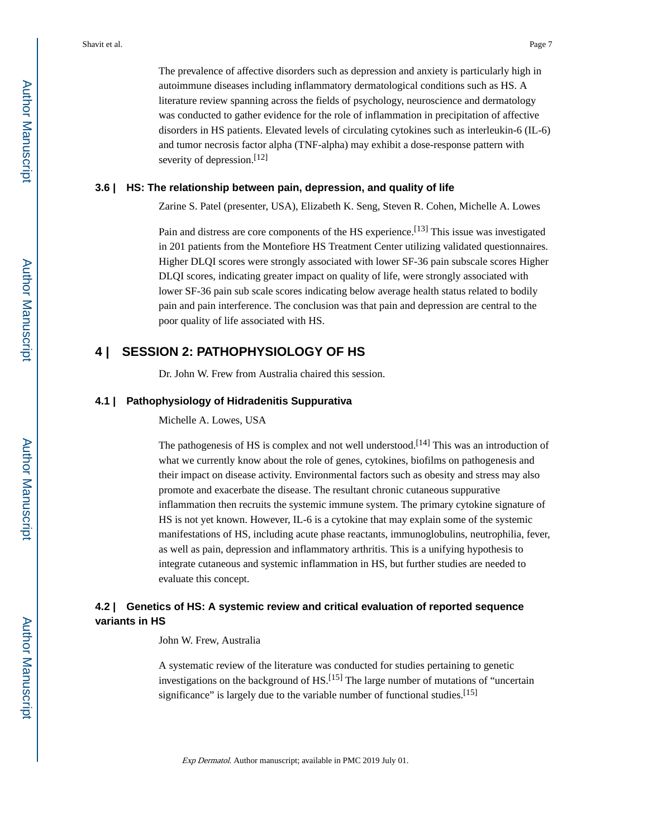The prevalence of affective disorders such as depression and anxiety is particularly high in autoimmune diseases including inflammatory dermatological conditions such as HS. A literature review spanning across the fields of psychology, neuroscience and dermatology was conducted to gather evidence for the role of inflammation in precipitation of affective disorders in HS patients. Elevated levels of circulating cytokines such as interleukin-6 (IL-6) and tumor necrosis factor alpha (TNF-alpha) may exhibit a dose-response pattern with severity of depression.<sup>[12]</sup>

#### **3.6 | HS: The relationship between pain, depression, and quality of life**

Zarine S. Patel (presenter, USA), Elizabeth K. Seng, Steven R. Cohen, Michelle A. Lowes

Pain and distress are core components of the HS experience.<sup>[13]</sup> This issue was investigated in 201 patients from the Montefiore HS Treatment Center utilizing validated questionnaires. Higher DLQI scores were strongly associated with lower SF-36 pain subscale scores Higher DLQI scores, indicating greater impact on quality of life, were strongly associated with lower SF-36 pain sub scale scores indicating below average health status related to bodily pain and pain interference. The conclusion was that pain and depression are central to the poor quality of life associated with HS.

# **4 | SESSION 2: PATHOPHYSIOLOGY OF HS**

Dr. John W. Frew from Australia chaired this session.

#### **4.1 | Pathophysiology of Hidradenitis Suppurativa**

Michelle A. Lowes, USA

The pathogenesis of HS is complex and not well understood.<sup>[14]</sup> This was an introduction of what we currently know about the role of genes, cytokines, biofilms on pathogenesis and their impact on disease activity. Environmental factors such as obesity and stress may also promote and exacerbate the disease. The resultant chronic cutaneous suppurative inflammation then recruits the systemic immune system. The primary cytokine signature of HS is not yet known. However, IL-6 is a cytokine that may explain some of the systemic manifestations of HS, including acute phase reactants, immunoglobulins, neutrophilia, fever, as well as pain, depression and inflammatory arthritis. This is a unifying hypothesis to integrate cutaneous and systemic inflammation in HS, but further studies are needed to evaluate this concept.

# **4.2 | Genetics of HS: A systemic review and critical evaluation of reported sequence variants in HS**

John W. Frew, Australia

A systematic review of the literature was conducted for studies pertaining to genetic investigations on the background of  $HS$ <sup>[15]</sup> The large number of mutations of "uncertain significance" is largely due to the variable number of functional studies.<sup>[15]</sup>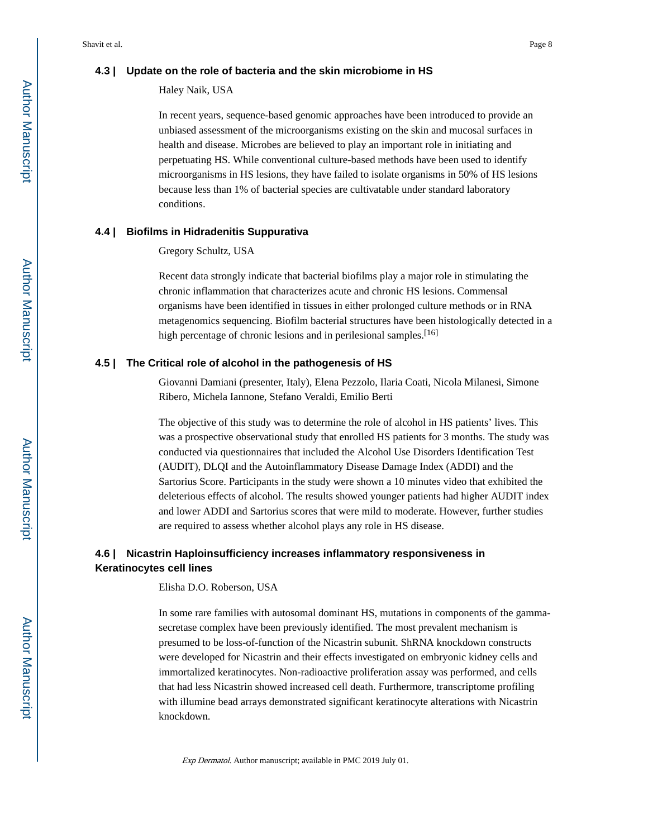#### **4.3 | Update on the role of bacteria and the skin microbiome in HS**

#### Haley Naik, USA

In recent years, sequence-based genomic approaches have been introduced to provide an unbiased assessment of the microorganisms existing on the skin and mucosal surfaces in health and disease. Microbes are believed to play an important role in initiating and perpetuating HS. While conventional culture-based methods have been used to identify microorganisms in HS lesions, they have failed to isolate organisms in 50% of HS lesions because less than 1% of bacterial species are cultivatable under standard laboratory conditions.

#### **4.4 | Biofilms in Hidradenitis Suppurativa**

Gregory Schultz, USA

Recent data strongly indicate that bacterial biofilms play a major role in stimulating the chronic inflammation that characterizes acute and chronic HS lesions. Commensal organisms have been identified in tissues in either prolonged culture methods or in RNA metagenomics sequencing. Biofilm bacterial structures have been histologically detected in a high percentage of chronic lesions and in perilesional samples.<sup>[16]</sup>

#### **4.5 | The Critical role of alcohol in the pathogenesis of HS**

Giovanni Damiani (presenter, Italy), Elena Pezzolo, Ilaria Coati, Nicola Milanesi, Simone Ribero, Michela Iannone, Stefano Veraldi, Emilio Berti

The objective of this study was to determine the role of alcohol in HS patients' lives. This was a prospective observational study that enrolled HS patients for 3 months. The study was conducted via questionnaires that included the Alcohol Use Disorders Identification Test (AUDIT), DLQI and the Autoinflammatory Disease Damage Index (ADDI) and the Sartorius Score. Participants in the study were shown a 10 minutes video that exhibited the deleterious effects of alcohol. The results showed younger patients had higher AUDIT index and lower ADDI and Sartorius scores that were mild to moderate. However, further studies are required to assess whether alcohol plays any role in HS disease.

# **4.6 | Nicastrin Haploinsufficiency increases inflammatory responsiveness in Keratinocytes cell lines**

Elisha D.O. Roberson, USA

In some rare families with autosomal dominant HS, mutations in components of the gammasecretase complex have been previously identified. The most prevalent mechanism is presumed to be loss-of-function of the Nicastrin subunit. ShRNA knockdown constructs were developed for Nicastrin and their effects investigated on embryonic kidney cells and immortalized keratinocytes. Non-radioactive proliferation assay was performed, and cells that had less Nicastrin showed increased cell death. Furthermore, transcriptome profiling with illumine bead arrays demonstrated significant keratinocyte alterations with Nicastrin knockdown.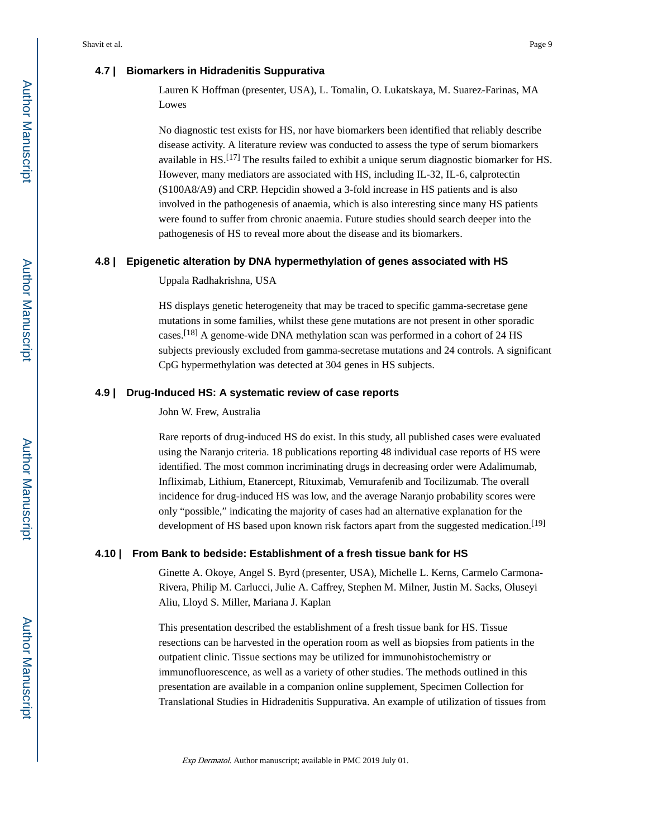## **4.7 | Biomarkers in Hidradenitis Suppurativa**

Lauren K Hoffman (presenter, USA), L. Tomalin, O. Lukatskaya, M. Suarez-Farinas, MA Lowes

No diagnostic test exists for HS, nor have biomarkers been identified that reliably describe disease activity. A literature review was conducted to assess the type of serum biomarkers available in  $HS$ <sup>[17]</sup> The results failed to exhibit a unique serum diagnostic biomarker for HS. However, many mediators are associated with HS, including IL-32, IL-6, calprotectin (S100A8/A9) and CRP. Hepcidin showed a 3-fold increase in HS patients and is also involved in the pathogenesis of anaemia, which is also interesting since many HS patients were found to suffer from chronic anaemia. Future studies should search deeper into the pathogenesis of HS to reveal more about the disease and its biomarkers.

#### **4.8 | Epigenetic alteration by DNA hypermethylation of genes associated with HS**

Uppala Radhakrishna, USA

HS displays genetic heterogeneity that may be traced to specific gamma-secretase gene mutations in some families, whilst these gene mutations are not present in other sporadic cases.<sup>[18]</sup> A genome-wide DNA methylation scan was performed in a cohort of 24 HS subjects previously excluded from gamma-secretase mutations and 24 controls. A significant CpG hypermethylation was detected at 304 genes in HS subjects.

### **4.9 | Drug-Induced HS: A systematic review of case reports**

John W. Frew, Australia

Rare reports of drug-induced HS do exist. In this study, all published cases were evaluated using the Naranjo criteria. 18 publications reporting 48 individual case reports of HS were identified. The most common incriminating drugs in decreasing order were Adalimumab, Infliximab, Lithium, Etanercept, Rituximab, Vemurafenib and Tocilizumab. The overall incidence for drug-induced HS was low, and the average Naranjo probability scores were only "possible," indicating the majority of cases had an alternative explanation for the development of HS based upon known risk factors apart from the suggested medication.<sup>[19]</sup>

#### **4.10 | From Bank to bedside: Establishment of a fresh tissue bank for HS**

Ginette A. Okoye, Angel S. Byrd (presenter, USA), Michelle L. Kerns, Carmelo Carmona-Rivera, Philip M. Carlucci, Julie A. Caffrey, Stephen M. Milner, Justin M. Sacks, Oluseyi Aliu, Lloyd S. Miller, Mariana J. Kaplan

This presentation described the establishment of a fresh tissue bank for HS. Tissue resections can be harvested in the operation room as well as biopsies from patients in the outpatient clinic. Tissue sections may be utilized for immunohistochemistry or immunofluorescence, as well as a variety of other studies. The methods outlined in this presentation are available in a companion online supplement, Specimen Collection for Translational Studies in Hidradenitis Suppurativa. An example of utilization of tissues from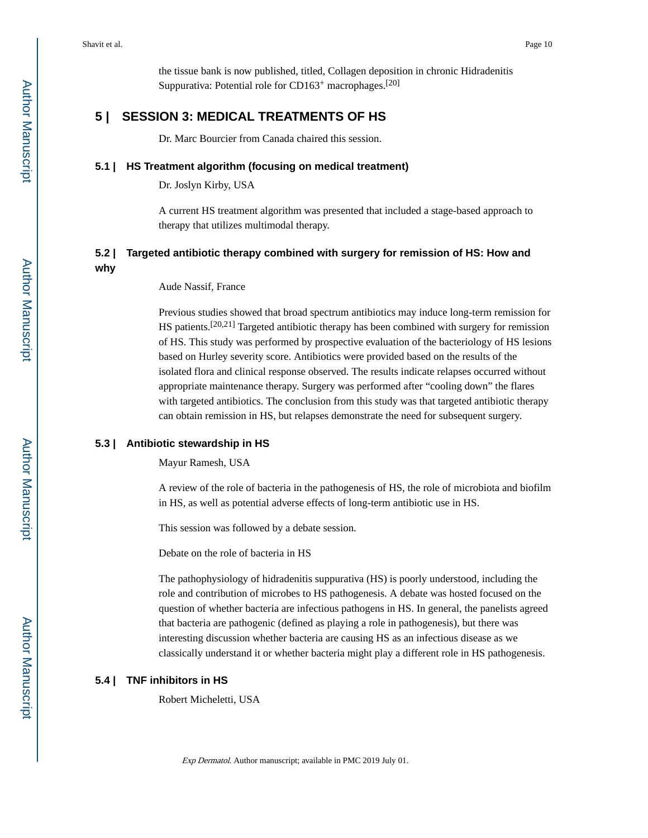the tissue bank is now published, titled, Collagen deposition in chronic Hidradenitis Suppurativa: Potential role for CD163<sup>+</sup> macrophages.<sup>[20]</sup>

# **5 | SESSION 3: MEDICAL TREATMENTS OF HS**

Dr. Marc Bourcier from Canada chaired this session.

#### **5.1 | HS Treatment algorithm (focusing on medical treatment)**

Dr. Joslyn Kirby, USA

A current HS treatment algorithm was presented that included a stage-based approach to therapy that utilizes multimodal therapy.

## **5.2 | Targeted antibiotic therapy combined with surgery for remission of HS: How and why**

#### Aude Nassif, France

Previous studies showed that broad spectrum antibiotics may induce long-term remission for HS patients.<sup>[20,21]</sup> Targeted antibiotic therapy has been combined with surgery for remission of HS. This study was performed by prospective evaluation of the bacteriology of HS lesions based on Hurley severity score. Antibiotics were provided based on the results of the isolated flora and clinical response observed. The results indicate relapses occurred without appropriate maintenance therapy. Surgery was performed after "cooling down" the flares with targeted antibiotics. The conclusion from this study was that targeted antibiotic therapy can obtain remission in HS, but relapses demonstrate the need for subsequent surgery.

#### **5.3 | Antibiotic stewardship in HS**

Mayur Ramesh, USA

A review of the role of bacteria in the pathogenesis of HS, the role of microbiota and biofilm in HS, as well as potential adverse effects of long-term antibiotic use in HS.

This session was followed by a debate session.

Debate on the role of bacteria in HS

The pathophysiology of hidradenitis suppurativa (HS) is poorly understood, including the role and contribution of microbes to HS pathogenesis. A debate was hosted focused on the question of whether bacteria are infectious pathogens in HS. In general, the panelists agreed that bacteria are pathogenic (defined as playing a role in pathogenesis), but there was interesting discussion whether bacteria are causing HS as an infectious disease as we classically understand it or whether bacteria might play a different role in HS pathogenesis.

## **5.4 | TNF inhibitors in HS**

Robert Micheletti, USA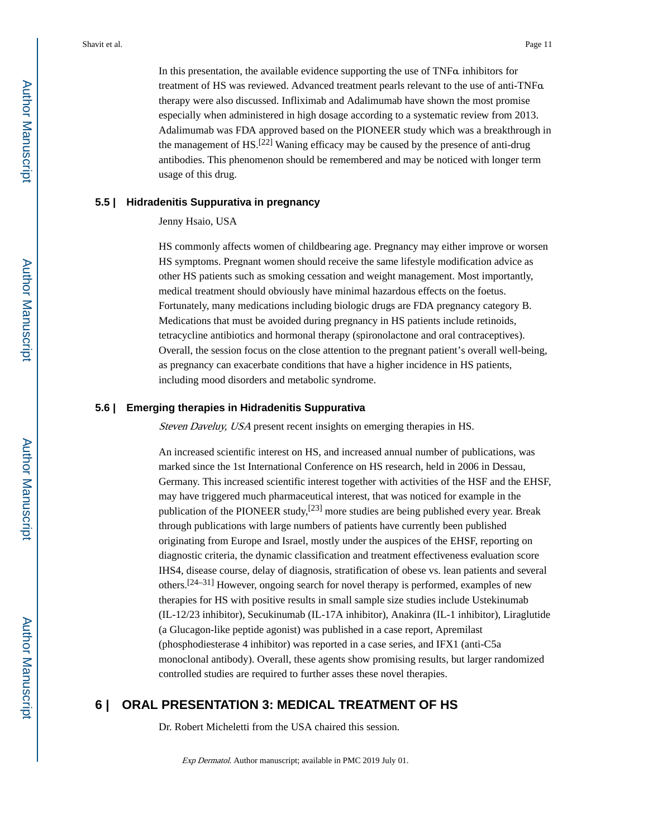In this presentation, the available evidence supporting the use of TNFα inhibitors for treatment of HS was reviewed. Advanced treatment pearls relevant to the use of anti-TNFα therapy were also discussed. Infliximab and Adalimumab have shown the most promise especially when administered in high dosage according to a systematic review from 2013. Adalimumab was FDA approved based on the PIONEER study which was a breakthrough in the management of HS.<sup>[22]</sup> Waning efficacy may be caused by the presence of anti-drug antibodies. This phenomenon should be remembered and may be noticed with longer term usage of this drug.

#### **5.5 | Hidradenitis Suppurativa in pregnancy**

#### Jenny Hsaio, USA

HS commonly affects women of childbearing age. Pregnancy may either improve or worsen HS symptoms. Pregnant women should receive the same lifestyle modification advice as other HS patients such as smoking cessation and weight management. Most importantly, medical treatment should obviously have minimal hazardous effects on the foetus. Fortunately, many medications including biologic drugs are FDA pregnancy category B. Medications that must be avoided during pregnancy in HS patients include retinoids, tetracycline antibiotics and hormonal therapy (spironolactone and oral contraceptives). Overall, the session focus on the close attention to the pregnant patient's overall well-being, as pregnancy can exacerbate conditions that have a higher incidence in HS patients, including mood disorders and metabolic syndrome.

#### **5.6 | Emerging therapies in Hidradenitis Suppurativa**

Steven Daveluy, USA present recent insights on emerging therapies in HS.

An increased scientific interest on HS, and increased annual number of publications, was marked since the 1st International Conference on HS research, held in 2006 in Dessau, Germany. This increased scientific interest together with activities of the HSF and the EHSF, may have triggered much pharmaceutical interest, that was noticed for example in the publication of the PIONEER study,<sup>[23]</sup> more studies are being published every year. Break through publications with large numbers of patients have currently been published originating from Europe and Israel, mostly under the auspices of the EHSF, reporting on diagnostic criteria, the dynamic classification and treatment effectiveness evaluation score IHS4, disease course, delay of diagnosis, stratification of obese vs. lean patients and several others.<sup>[24–31]</sup> However, ongoing search for novel therapy is performed, examples of new therapies for HS with positive results in small sample size studies include Ustekinumab (IL-12/23 inhibitor), Secukinumab (IL-17A inhibitor), Anakinra (IL-1 inhibitor), Liraglutide (a Glucagon-like peptide agonist) was published in a case report, Apremilast (phosphodiesterase 4 inhibitor) was reported in a case series, and IFX1 (anti-C5a monoclonal antibody). Overall, these agents show promising results, but larger randomized controlled studies are required to further asses these novel therapies.

# **6 | ORAL PRESENTATION 3: MEDICAL TREATMENT OF HS**

Dr. Robert Micheletti from the USA chaired this session.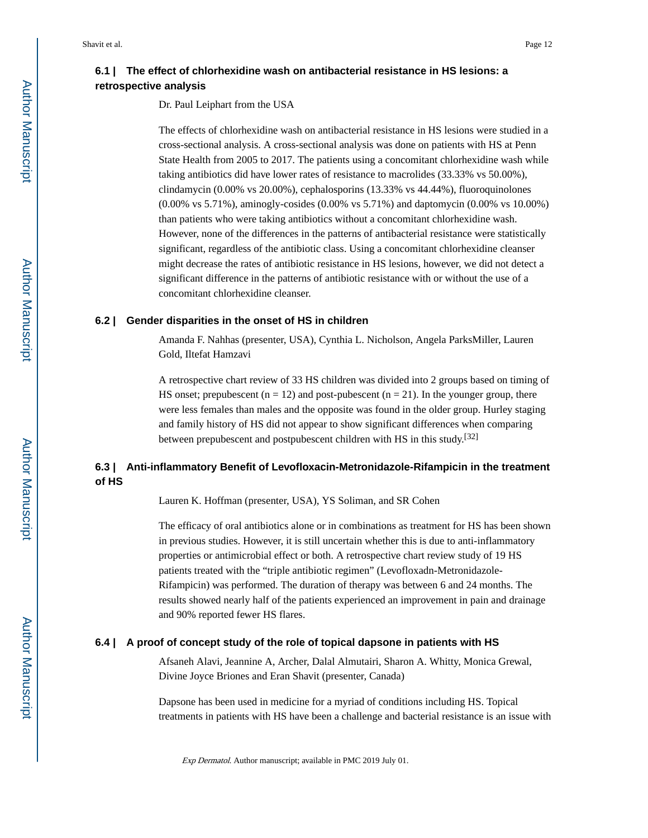# **6.1 | The effect of chlorhexidine wash on antibacterial resistance in HS lesions: a retrospective analysis**

#### Dr. Paul Leiphart from the USA

The effects of chlorhexidine wash on antibacterial resistance in HS lesions were studied in a cross-sectional analysis. A cross-sectional analysis was done on patients with HS at Penn State Health from 2005 to 2017. The patients using a concomitant chlorhexidine wash while taking antibiotics did have lower rates of resistance to macrolides (33.33% vs 50.00%), clindamycin  $(0.00\% \text{ vs } 20.00\%)$ , cephalosporins  $(13.33\% \text{ vs } 44.44\%)$ , fluoroquinolones (0.00% vs 5.71%), aminogly-cosides (0.00% vs 5.71%) and daptomycin (0.00% vs 10.00%) than patients who were taking antibiotics without a concomitant chlorhexidine wash. However, none of the differences in the patterns of antibacterial resistance were statistically significant, regardless of the antibiotic class. Using a concomitant chlorhexidine cleanser might decrease the rates of antibiotic resistance in HS lesions, however, we did not detect a significant difference in the patterns of antibiotic resistance with or without the use of a concomitant chlorhexidine cleanser.

#### **6.2 | Gender disparities in the onset of HS in children**

Amanda F. Nahhas (presenter, USA), Cynthia L. Nicholson, Angela ParksMiller, Lauren Gold, Iltefat Hamzavi

A retrospective chart review of 33 HS children was divided into 2 groups based on timing of HS onset; prepubescent ( $n = 12$ ) and post-pubescent ( $n = 21$ ). In the younger group, there were less females than males and the opposite was found in the older group. Hurley staging and family history of HS did not appear to show significant differences when comparing between prepubescent and postpubescent children with HS in this study.<sup>[32]</sup>

# **6.3 | Anti-inflammatory Benefit of Levofloxacin-Metronidazole-Rifampicin in the treatment of HS**

Lauren K. Hoffman (presenter, USA), YS Soliman, and SR Cohen

The efficacy of oral antibiotics alone or in combinations as treatment for HS has been shown in previous studies. However, it is still uncertain whether this is due to anti-inflammatory properties or antimicrobial effect or both. A retrospective chart review study of 19 HS patients treated with the "triple antibiotic regimen" (Levofloxadn-Metronidazole-Rifampicin) was performed. The duration of therapy was between 6 and 24 months. The results showed nearly half of the patients experienced an improvement in pain and drainage and 90% reported fewer HS flares.

#### **6.4 | A proof of concept study of the role of topical dapsone in patients with HS**

Afsaneh Alavi, Jeannine A, Archer, Dalal Almutairi, Sharon A. Whitty, Monica Grewal, Divine Joyce Briones and Eran Shavit (presenter, Canada)

Dapsone has been used in medicine for a myriad of conditions including HS. Topical treatments in patients with HS have been a challenge and bacterial resistance is an issue with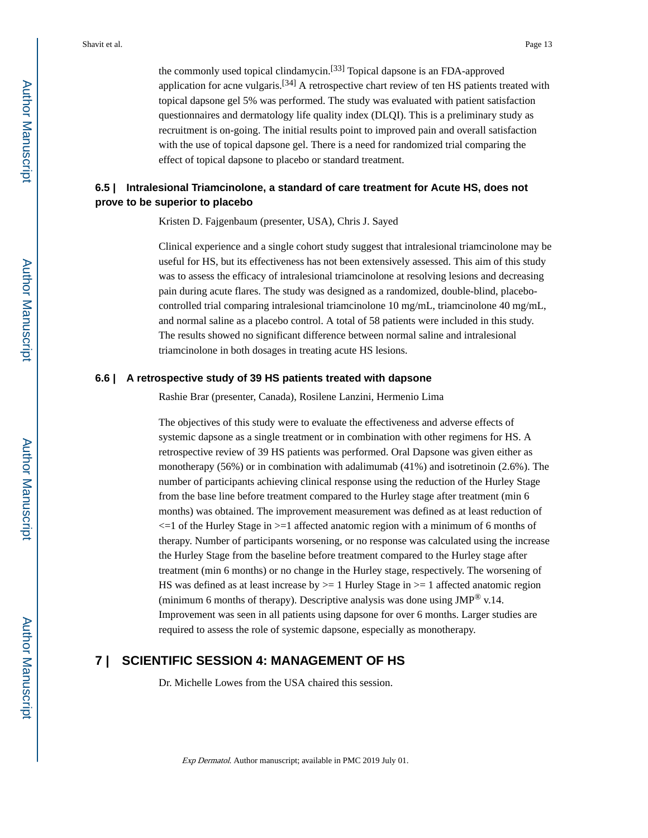the commonly used topical clindamycin.<sup>[33]</sup> Topical dapsone is an FDA-approved application for acne vulgaris.<sup>[34]</sup> A retrospective chart review of ten HS patients treated with topical dapsone gel 5% was performed. The study was evaluated with patient satisfaction questionnaires and dermatology life quality index (DLQI). This is a preliminary study as recruitment is on-going. The initial results point to improved pain and overall satisfaction with the use of topical dapsone gel. There is a need for randomized trial comparing the effect of topical dapsone to placebo or standard treatment.

# **6.5 | Intralesional Triamcinolone, a standard of care treatment for Acute HS, does not prove to be superior to placebo**

Kristen D. Fajgenbaum (presenter, USA), Chris J. Sayed

Clinical experience and a single cohort study suggest that intralesional triamcinolone may be useful for HS, but its effectiveness has not been extensively assessed. This aim of this study was to assess the efficacy of intralesional triamcinolone at resolving lesions and decreasing pain during acute flares. The study was designed as a randomized, double-blind, placebocontrolled trial comparing intralesional triamcinolone 10 mg/mL, triamcinolone 40 mg/mL, and normal saline as a placebo control. A total of 58 patients were included in this study. The results showed no significant difference between normal saline and intralesional triamcinolone in both dosages in treating acute HS lesions.

#### **6.6 | A retrospective study of 39 HS patients treated with dapsone**

Rashie Brar (presenter, Canada), Rosilene Lanzini, Hermenio Lima

The objectives of this study were to evaluate the effectiveness and adverse effects of systemic dapsone as a single treatment or in combination with other regimens for HS. A retrospective review of 39 HS patients was performed. Oral Dapsone was given either as monotherapy (56%) or in combination with adalimumab (41%) and isotretinoin (2.6%). The number of participants achieving clinical response using the reduction of the Hurley Stage from the base line before treatment compared to the Hurley stage after treatment (min 6 months) was obtained. The improvement measurement was defined as at least reduction of  $\leq$  1 of the Hurley Stage in  $\geq$  1 affected anatomic region with a minimum of 6 months of therapy. Number of participants worsening, or no response was calculated using the increase the Hurley Stage from the baseline before treatment compared to the Hurley stage after treatment (min 6 months) or no change in the Hurley stage, respectively. The worsening of HS was defined as at least increase by  $>= 1$  Hurley Stage in  $>= 1$  affected anatomic region (minimum 6 months of therapy). Descriptive analysis was done using  $JMP^{\circledR}$  v.14. Improvement was seen in all patients using dapsone for over 6 months. Larger studies are required to assess the role of systemic dapsone, especially as monotherapy.

# **7 | SCIENTIFIC SESSION 4: MANAGEMENT OF HS**

Dr. Michelle Lowes from the USA chaired this session.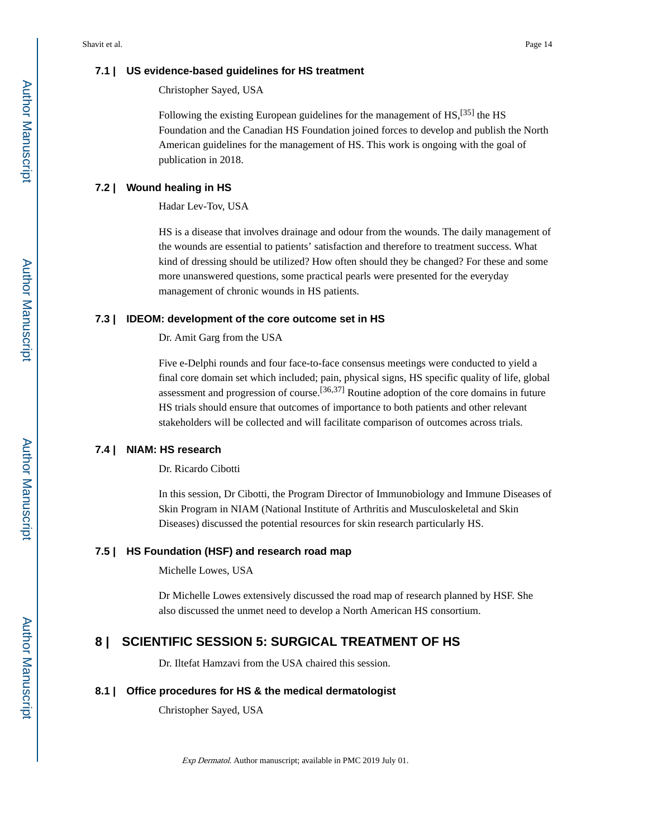#### **7.1 | US evidence-based guidelines for HS treatment**

Christopher Sayed, USA

Following the existing European guidelines for the management of  $HS$ ,  $[35]$  the HS Foundation and the Canadian HS Foundation joined forces to develop and publish the North American guidelines for the management of HS. This work is ongoing with the goal of publication in 2018.

## **7.2 | Wound healing in HS**

Hadar Lev-Tov, USA

HS is a disease that involves drainage and odour from the wounds. The daily management of the wounds are essential to patients' satisfaction and therefore to treatment success. What kind of dressing should be utilized? How often should they be changed? For these and some more unanswered questions, some practical pearls were presented for the everyday management of chronic wounds in HS patients.

#### **7.3 | IDEOM: development of the core outcome set in HS**

Dr. Amit Garg from the USA

Five e-Delphi rounds and four face-to-face consensus meetings were conducted to yield a final core domain set which included; pain, physical signs, HS specific quality of life, global assessment and progression of course.<sup>[36,37]</sup> Routine adoption of the core domains in future HS trials should ensure that outcomes of importance to both patients and other relevant stakeholders will be collected and will facilitate comparison of outcomes across trials.

## **7.4 | NIAM: HS research**

Dr. Ricardo Cibotti

In this session, Dr Cibotti, the Program Director of Immunobiology and Immune Diseases of Skin Program in NIAM (National Institute of Arthritis and Musculoskeletal and Skin Diseases) discussed the potential resources for skin research particularly HS.

### **7.5 | HS Foundation (HSF) and research road map**

Michelle Lowes, USA

Dr Michelle Lowes extensively discussed the road map of research planned by HSF. She also discussed the unmet need to develop a North American HS consortium.

# **8 | SCIENTIFIC SESSION 5: SURGICAL TREATMENT OF HS**

Dr. Iltefat Hamzavi from the USA chaired this session.

#### **8.1 | Office procedures for HS & the medical dermatologist**

Christopher Sayed, USA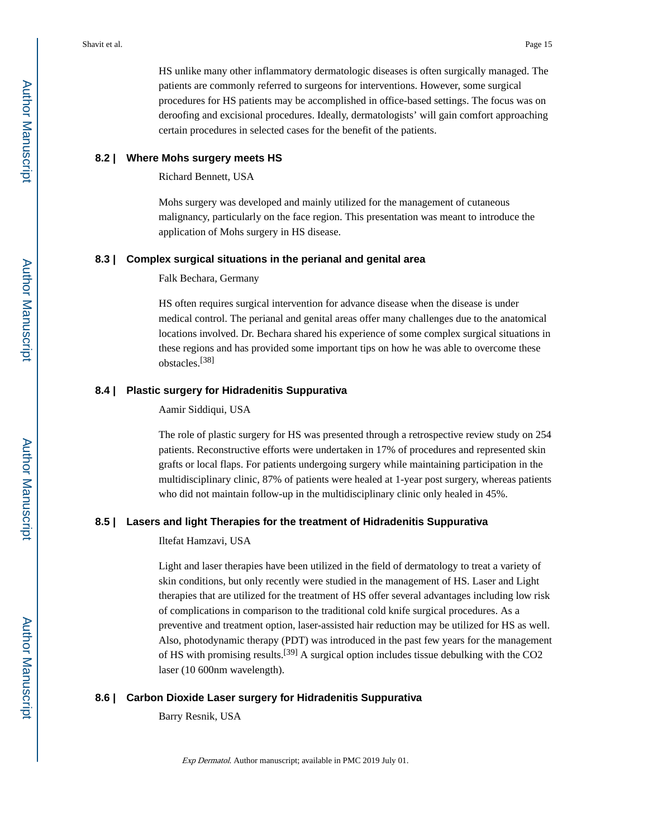HS unlike many other inflammatory dermatologic diseases is often surgically managed. The patients are commonly referred to surgeons for interventions. However, some surgical procedures for HS patients may be accomplished in office-based settings. The focus was on deroofing and excisional procedures. Ideally, dermatologists' will gain comfort approaching certain procedures in selected cases for the benefit of the patients.

#### **8.2 | Where Mohs surgery meets HS**

Richard Bennett, USA

Mohs surgery was developed and mainly utilized for the management of cutaneous malignancy, particularly on the face region. This presentation was meant to introduce the application of Mohs surgery in HS disease.

#### **8.3 | Complex surgical situations in the perianal and genital area**

Falk Bechara, Germany

HS often requires surgical intervention for advance disease when the disease is under medical control. The perianal and genital areas offer many challenges due to the anatomical locations involved. Dr. Bechara shared his experience of some complex surgical situations in these regions and has provided some important tips on how he was able to overcome these obstacles.[38]

#### **8.4 | Plastic surgery for Hidradenitis Suppurativa**

Aamir Siddiqui, USA

The role of plastic surgery for HS was presented through a retrospective review study on 254 patients. Reconstructive efforts were undertaken in 17% of procedures and represented skin grafts or local flaps. For patients undergoing surgery while maintaining participation in the multidisciplinary clinic, 87% of patients were healed at 1-year post surgery, whereas patients who did not maintain follow-up in the multidisciplinary clinic only healed in 45%.

#### **8.5 | Lasers and light Therapies for the treatment of Hidradenitis Suppurativa**

Iltefat Hamzavi, USA

Light and laser therapies have been utilized in the field of dermatology to treat a variety of skin conditions, but only recently were studied in the management of HS. Laser and Light therapies that are utilized for the treatment of HS offer several advantages including low risk of complications in comparison to the traditional cold knife surgical procedures. As a preventive and treatment option, laser-assisted hair reduction may be utilized for HS as well. Also, photodynamic therapy (PDT) was introduced in the past few years for the management of HS with promising results.<sup>[39]</sup> A surgical option includes tissue debulking with the CO2 laser (10 600nm wavelength).

#### **8.6 | Carbon Dioxide Laser surgery for Hidradenitis Suppurativa**

Barry Resnik, USA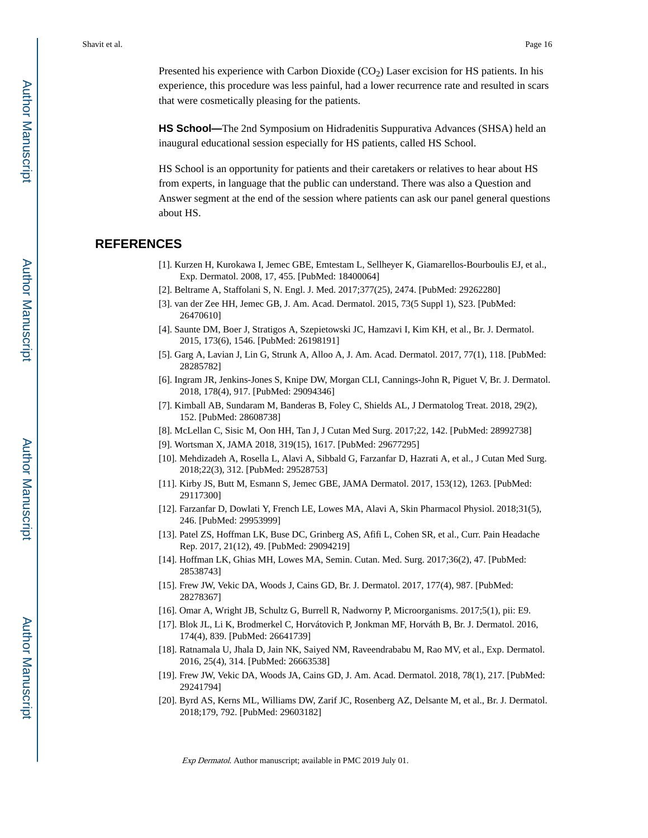Presented his experience with Carbon Dioxide  $(CO<sub>2</sub>)$  Laser excision for HS patients. In his experience, this procedure was less painful, had a lower recurrence rate and resulted in scars that were cosmetically pleasing for the patients.

**HS School—**The 2nd Symposium on Hidradenitis Suppurativa Advances (SHSA) held an inaugural educational session especially for HS patients, called HS School.

HS School is an opportunity for patients and their caretakers or relatives to hear about HS from experts, in language that the public can understand. There was also a Question and Answer segment at the end of the session where patients can ask our panel general questions about HS.

# **REFERENCES**

- [1]. Kurzen H, Kurokawa I, Jemec GBE, Emtestam L, Sellheyer K, Giamarellos-Bourboulis EJ, et al., Exp. Dermatol. 2008, 17, 455. [PubMed: 18400064]
- [2]. Beltrame A, Staffolani S, N. Engl. J. Med. 2017;377(25), 2474. [PubMed: 29262280]
- [3]. van der Zee HH, Jemec GB, J. Am. Acad. Dermatol. 2015, 73(5 Suppl 1), S23. [PubMed: 26470610]
- [4]. Saunte DM, Boer J, Stratigos A, Szepietowski JC, Hamzavi I, Kim KH, et al., Br. J. Dermatol. 2015, 173(6), 1546. [PubMed: 26198191]
- [5]. Garg A, Lavian J, Lin G, Strunk A, Alloo A, J. Am. Acad. Dermatol. 2017, 77(1), 118. [PubMed: 28285782]
- [6]. Ingram JR, Jenkins-Jones S, Knipe DW, Morgan CLI, Cannings-John R, Piguet V, Br. J. Dermatol. 2018, 178(4), 917. [PubMed: 29094346]
- [7]. Kimball AB, Sundaram M, Banderas B, Foley C, Shields AL, J Dermatolog Treat. 2018, 29(2), 152. [PubMed: 28608738]
- [8]. McLellan C, Sisic M, Oon HH, Tan J, J Cutan Med Surg. 2017;22, 142. [PubMed: 28992738]
- [9]. Wortsman X, JAMA 2018, 319(15), 1617. [PubMed: 29677295]
- [10]. Mehdizadeh A, Rosella L, Alavi A, Sibbald G, Farzanfar D, Hazrati A, et al., J Cutan Med Surg. 2018;22(3), 312. [PubMed: 29528753]
- [11]. Kirby JS, Butt M, Esmann S, Jemec GBE, JAMA Dermatol. 2017, 153(12), 1263. [PubMed: 29117300]
- [12]. Farzanfar D, Dowlati Y, French LE, Lowes MA, Alavi A, Skin Pharmacol Physiol. 2018;31(5), 246. [PubMed: 29953999]
- [13]. Patel ZS, Hoffman LK, Buse DC, Grinberg AS, Afifi L, Cohen SR, et al., Curr. Pain Headache Rep. 2017, 21(12), 49. [PubMed: 29094219]
- [14]. Hoffman LK, Ghias MH, Lowes MA, Semin. Cutan. Med. Surg. 2017;36(2), 47. [PubMed: 28538743]
- [15]. Frew JW, Vekic DA, Woods J, Cains GD, Br. J. Dermatol. 2017, 177(4), 987. [PubMed: 28278367]
- [16]. Omar A, Wright JB, Schultz G, Burrell R, Nadworny P, Microorganisms. 2017;5(1), pii: E9.
- [17]. Blok JL, Li K, Brodmerkel C, Horvátovich P, Jonkman MF, Horváth B, Br. J. Dermatol. 2016, 174(4), 839. [PubMed: 26641739]
- [18]. Ratnamala U, Jhala D, Jain NK, Saiyed NM, Raveendrababu M, Rao MV, et al., Exp. Dermatol. 2016, 25(4), 314. [PubMed: 26663538]
- [19]. Frew JW, Vekic DA, Woods JA, Cains GD, J. Am. Acad. Dermatol. 2018, 78(1), 217. [PubMed: 29241794]
- [20]. Byrd AS, Kerns ML, Williams DW, Zarif JC, Rosenberg AZ, Delsante M, et al., Br. J. Dermatol. 2018;179, 792. [PubMed: 29603182]